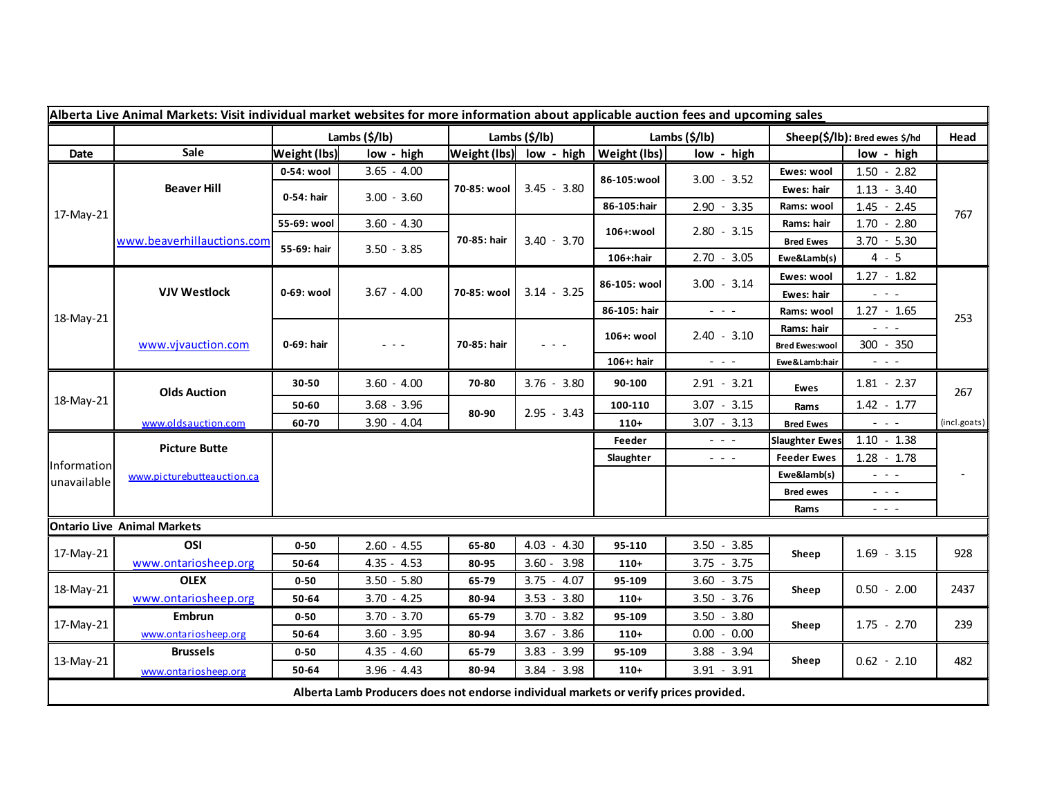| Alberta Live Animal Markets: Visit individual market websites for more information about applicable auction fees and upcoming sales |                            |              |                           |               |                                        |                       |                                                                                                                        |                               |                                                                                                                        |              |
|-------------------------------------------------------------------------------------------------------------------------------------|----------------------------|--------------|---------------------------|---------------|----------------------------------------|-----------------------|------------------------------------------------------------------------------------------------------------------------|-------------------------------|------------------------------------------------------------------------------------------------------------------------|--------------|
|                                                                                                                                     |                            |              | Lambs $(\frac{2}{3})$ lb) | Lambs (\$/lb) |                                        | Lambs $(\frac{2}{3})$ |                                                                                                                        | Sheep(\$/lb): Bred ewes \$/hd |                                                                                                                        | Head         |
| Date                                                                                                                                | Sale                       | Weight (lbs) | low - high                |               | Weight (lbs) low - high   Weight (lbs) |                       | low - high                                                                                                             |                               | low - high                                                                                                             |              |
| 17-May-21                                                                                                                           | <b>Beaver Hill</b>         | 0-54: wool   | $3.65 - 4.00$             | 70-85: wool   | $3.45 - 3.80$                          | 86-105:wool           | $3.00 - 3.52$                                                                                                          | Ewes: wool                    | $1.50 - 2.82$                                                                                                          | 767          |
|                                                                                                                                     |                            | 0-54: hair   | $3.00 - 3.60$             |               |                                        |                       |                                                                                                                        | Ewes: hair                    | $1.13 - 3.40$                                                                                                          |              |
|                                                                                                                                     |                            |              |                           |               |                                        | 86-105:hair           | $2.90 - 3.35$                                                                                                          | Rams: wool                    | $1.45 - 2.45$                                                                                                          |              |
|                                                                                                                                     | www.beaverhillauctions.com | 55-69: wool  | $3.60 - 4.30$             | 70-85: hair   | $3.40 - 3.70$                          | 106+:wool             | $2.80 - 3.15$                                                                                                          | Rams: hair                    | $1.70 - 2.80$                                                                                                          |              |
|                                                                                                                                     |                            | 55-69: hair  | $3.50 - 3.85$             |               |                                        |                       |                                                                                                                        | <b>Bred Ewes</b>              | $3.70 - 5.30$                                                                                                          |              |
|                                                                                                                                     |                            |              |                           |               |                                        | $106+$ : hair         | $2.70 - 3.05$                                                                                                          | Ewe&Lamb(s)                   | $4 - 5$                                                                                                                |              |
| 18-May-21                                                                                                                           | <b>VJV Westlock</b>        | 0-69: wool   | $3.67 - 4.00$             | 70-85: wool   | $3.14 - 3.25$                          | 86-105: wool          | $3.00 - 3.14$                                                                                                          | Ewes: wool                    | $1.27 - 1.82$                                                                                                          |              |
|                                                                                                                                     |                            |              |                           |               |                                        |                       |                                                                                                                        | Ewes: hair                    | $\frac{1}{2} \left( \frac{1}{2} \right) \frac{1}{2} \left( \frac{1}{2} \right) \frac{1}{2} \left( \frac{1}{2} \right)$ |              |
|                                                                                                                                     |                            |              |                           |               |                                        | 86-105: hair          | $\omega_{\rm{c}}$ , $\omega_{\rm{c}}$ , $\omega_{\rm{c}}$                                                              | Rams: wool                    | $1.27 - 1.65$                                                                                                          | 253          |
|                                                                                                                                     | www.vjvauction.com         | 0-69: hair   | $  -$                     | 70-85: hair   | - - -                                  | 106+: wool            | $2.40 - 3.10$                                                                                                          | Rams: hair                    | $\omega_{\rm{eff}}$ and $\omega_{\rm{eff}}$                                                                            |              |
|                                                                                                                                     |                            |              |                           |               |                                        |                       |                                                                                                                        | <b>Bred Ewes:wool</b>         | 300 - 350                                                                                                              |              |
|                                                                                                                                     |                            |              |                           |               |                                        | 106+: hair            | $\omega_{\rm{max}}$                                                                                                    | Ewe&Lamb:hair                 | $\omega_{\rm{c}}$ , $\omega_{\rm{c}}$ , $\omega_{\rm{c}}$                                                              |              |
| 18-May-21                                                                                                                           | <b>Olds Auction</b>        | 30-50        | $3.60 - 4.00$             | 70-80         | $3.76 - 3.80$                          | 90-100                | $2.91 - 3.21$                                                                                                          | Ewes                          | $1.81 - 2.37$                                                                                                          | 267          |
|                                                                                                                                     |                            | 50-60        | $3.68 - 3.96$             |               |                                        | 100-110               | $3.07 - 3.15$                                                                                                          | Rams                          | $1.42 - 1.77$                                                                                                          |              |
|                                                                                                                                     | www.oldsauction.com        | 60-70        | $3.90 - 4.04$             | 80-90         | $2.95 - 3.43$                          | $110+$                | $3.07 - 3.13$                                                                                                          | <b>Bred Ewes</b>              | $\sigma_{\rm c} \sim 100$                                                                                              | (incl.goats) |
| Information<br>unavailable                                                                                                          |                            |              |                           |               |                                        | Feeder                | $\frac{1}{2} \left( \frac{1}{2} \right) \frac{1}{2} \left( \frac{1}{2} \right) \frac{1}{2} \left( \frac{1}{2} \right)$ | <b>Slaughter Ewes</b>         | $1.10 - 1.38$                                                                                                          |              |
|                                                                                                                                     | <b>Picture Butte</b>       |              |                           |               |                                        | Slaughter             | $\frac{1}{2} \left( \frac{1}{2} \right) = \frac{1}{2} \left( \frac{1}{2} \right)$                                      | <b>Feeder Ewes</b>            | $1.28 - 1.78$                                                                                                          |              |
|                                                                                                                                     | www.picturebutteauction.ca |              |                           |               |                                        |                       |                                                                                                                        | Ewe&lamb(s)                   | $\frac{1}{2} \left( \frac{1}{2} \right) = \frac{1}{2} \left( \frac{1}{2} \right)$                                      |              |
|                                                                                                                                     |                            |              |                           |               |                                        |                       |                                                                                                                        | <b>Bred ewes</b>              | $\omega_{\rm{c}}$ , $\omega_{\rm{c}}$ , $\omega_{\rm{c}}$                                                              |              |
|                                                                                                                                     |                            |              |                           |               |                                        |                       |                                                                                                                        | Rams                          | $\frac{1}{2} \left( \frac{1}{2} \right) \left( \frac{1}{2} \right) \left( \frac{1}{2} \right)$                         |              |
| <b>Ontario Live Animal Markets</b>                                                                                                  |                            |              |                           |               |                                        |                       |                                                                                                                        |                               |                                                                                                                        |              |
| 17-May-21                                                                                                                           | OSI                        | $0 - 50$     | $2.60 - 4.55$             | 65-80         | 4.03<br>$-4.30$                        | 95-110                | $3.50 - 3.85$                                                                                                          | Sheep                         | $1.69 - 3.15$                                                                                                          | 928          |
|                                                                                                                                     | www.ontariosheep.org       | 50-64        | $4.35 - 4.53$             | 80-95         | $3.60 - 3.98$                          | $110+$                | $3.75 - 3.75$                                                                                                          |                               |                                                                                                                        |              |
| 18-May-21                                                                                                                           | <b>OLEX</b>                | $0 - 50$     | $3.50 - 5.80$             | 65-79         | $3.75 - 4.07$                          | 95-109                | $3.60 - 3.75$                                                                                                          | Sheep                         | $0.50 - 2.00$                                                                                                          | 2437         |
|                                                                                                                                     | www.ontariosheep.org       | 50-64        | $3.70 - 4.25$             | 80-94         | $3.53 - 3.80$                          | $110+$                | $3.50 - 3.76$                                                                                                          |                               |                                                                                                                        |              |
| 17-May-21                                                                                                                           | <b>Embrun</b>              | 0-50         | $3.70 - 3.70$             | 65-79         | $3.70 - 3.82$                          | 95-109                | $3.50 - 3.80$                                                                                                          | Sheep                         | $1.75 - 2.70$                                                                                                          | 239          |
|                                                                                                                                     | www.ontariosheep.org       | 50-64        | $3.60 - 3.95$             | 80-94         | $3.67 - 3.86$                          | $110+$                | $0.00 - 0.00$                                                                                                          |                               |                                                                                                                        |              |
| 13-May-21                                                                                                                           | <b>Brussels</b>            | $0 - 50$     | $4.35 - 4.60$             | 65-79         | $3.83 - 3.99$                          | 95-109                | $3.88 - 3.94$                                                                                                          |                               |                                                                                                                        | 482          |
|                                                                                                                                     | www.ontariosheep.org       | 50-64        | $3.96 - 4.43$             | 80-94         | $3.84 - 3.98$                          | $110+$                | $3.91 - 3.91$                                                                                                          | Sheep                         | $0.62 - 2.10$                                                                                                          |              |
| Alberta Lamb Producers does not endorse individual markets or verify prices provided.                                               |                            |              |                           |               |                                        |                       |                                                                                                                        |                               |                                                                                                                        |              |